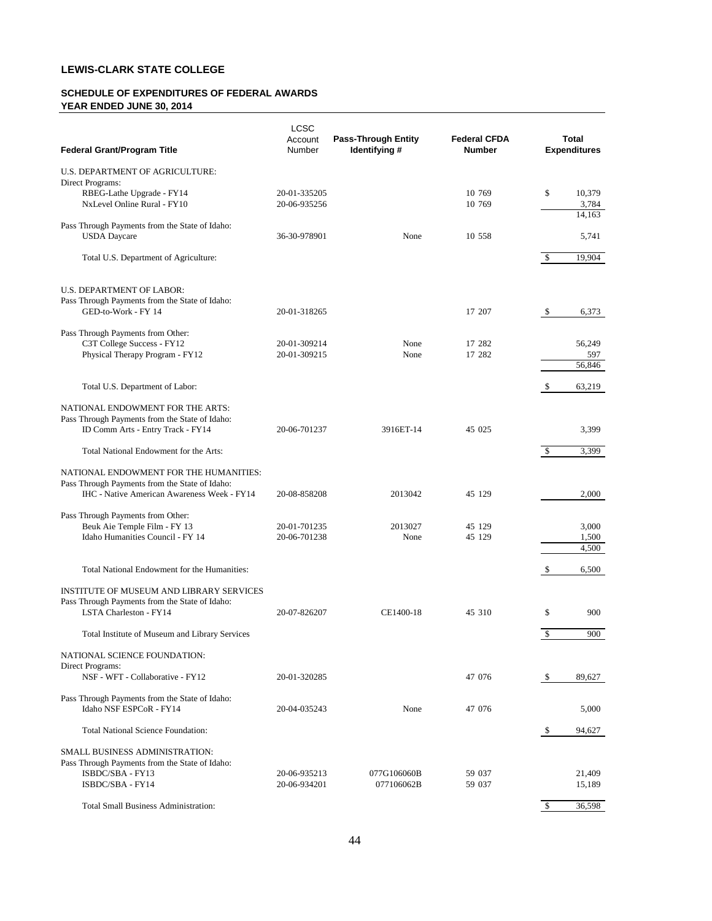# **LEWIS-CLARK STATE COLLEGE**

### **SCHEDULE OF EXPENDITURES OF FEDERAL AWARDS YEAR ENDED JUNE 30, 2014**

| <b>Federal Grant/Program Title</b>             | LCSC<br>Account<br>Number | <b>Pass-Through Entity</b><br>Identifying # | <b>Federal CFDA</b><br><b>Number</b> |              | <b>Total</b><br><b>Expenditures</b> |
|------------------------------------------------|---------------------------|---------------------------------------------|--------------------------------------|--------------|-------------------------------------|
| U.S. DEPARTMENT OF AGRICULTURE:                |                           |                                             |                                      |              |                                     |
| Direct Programs:                               |                           |                                             |                                      |              |                                     |
| RBEG-Lathe Upgrade - FY14                      | 20-01-335205              |                                             | 10 769                               | \$           | 10,379                              |
| NxLevel Online Rural - FY10                    | 20-06-935256              |                                             | 10 769                               |              | 3,784<br>14,163                     |
| Pass Through Payments from the State of Idaho: |                           |                                             |                                      |              |                                     |
| <b>USDA</b> Daycare                            | 36-30-978901              | None                                        | 10 558                               |              | 5,741                               |
| Total U.S. Department of Agriculture:          |                           |                                             |                                      | $\mathbb{S}$ | 19,904                              |
| <b>U.S. DEPARTMENT OF LABOR:</b>               |                           |                                             |                                      |              |                                     |
| Pass Through Payments from the State of Idaho: |                           |                                             |                                      |              |                                     |
| GED-to-Work - FY 14                            | 20-01-318265              |                                             | 17 207                               | \$           | 6,373                               |
| Pass Through Payments from Other:              |                           |                                             |                                      |              |                                     |
| C3T College Success - FY12                     | 20-01-309214              | None                                        | 17 282                               |              | 56,249                              |
| Physical Therapy Program - FY12                | 20-01-309215              | None                                        | 17 282                               |              | 597                                 |
|                                                |                           |                                             |                                      |              | 56,846                              |
| Total U.S. Department of Labor:                |                           |                                             |                                      | \$           | 63,219                              |
| NATIONAL ENDOWMENT FOR THE ARTS:               |                           |                                             |                                      |              |                                     |
| Pass Through Payments from the State of Idaho: |                           |                                             |                                      |              |                                     |
| ID Comm Arts - Entry Track - FY14              | 20-06-701237              | 3916ET-14                                   | 45 025                               |              | 3,399                               |
| Total National Endowment for the Arts:         |                           |                                             |                                      | $\mathbb{S}$ | 3,399                               |
| NATIONAL ENDOWMENT FOR THE HUMANITIES:         |                           |                                             |                                      |              |                                     |
| Pass Through Payments from the State of Idaho: |                           |                                             |                                      |              |                                     |
| IHC - Native American Awareness Week - FY14    | 20-08-858208              | 2013042                                     | 45 129                               |              | 2,000                               |
| Pass Through Payments from Other:              |                           |                                             |                                      |              |                                     |
| Beuk Aie Temple Film - FY 13                   | 20-01-701235              | 2013027                                     | 45 129                               |              | 3,000                               |
| Idaho Humanities Council - FY 14               | 20-06-701238              | None                                        | 45 129                               |              | 1,500<br>4,500                      |
|                                                |                           |                                             |                                      |              |                                     |
| Total National Endowment for the Humanities:   |                           |                                             |                                      | \$           | 6,500                               |
| INSTITUTE OF MUSEUM AND LIBRARY SERVICES       |                           |                                             |                                      |              |                                     |
| Pass Through Payments from the State of Idaho: |                           |                                             |                                      |              |                                     |
| LSTA Charleston - FY14                         | 20-07-826207              | CE1400-18                                   | 45 310                               | \$           | 900                                 |
| Total Institute of Museum and Library Services |                           |                                             |                                      | \$           | 900                                 |
| NATIONAL SCIENCE FOUNDATION:                   |                           |                                             |                                      |              |                                     |
| Direct Programs:                               |                           |                                             |                                      |              |                                     |
| NSF - WFT - Collaborative - FY12               | 20-01-320285              |                                             | 47 076                               | \$           | 89,627                              |
| Pass Through Payments from the State of Idaho: |                           |                                             |                                      |              |                                     |
| Idaho NSF ESPCoR - FY14                        | 20-04-035243              | None                                        | 47 076                               |              | 5,000                               |
| <b>Total National Science Foundation:</b>      |                           |                                             |                                      | \$           | 94,627                              |
| <b>SMALL BUSINESS ADMINISTRATION:</b>          |                           |                                             |                                      |              |                                     |
| Pass Through Payments from the State of Idaho: |                           |                                             |                                      |              |                                     |
| ISBDC/SBA - FY13                               | 20-06-935213              | 077G106060B                                 | 59 037                               |              | 21,409                              |
| ISBDC/SBA - FY14                               | 20-06-934201              | 077106062B                                  | 59 037                               |              | 15,189                              |
| <b>Total Small Business Administration:</b>    |                           |                                             |                                      | $\mathbf{s}$ | 36,598                              |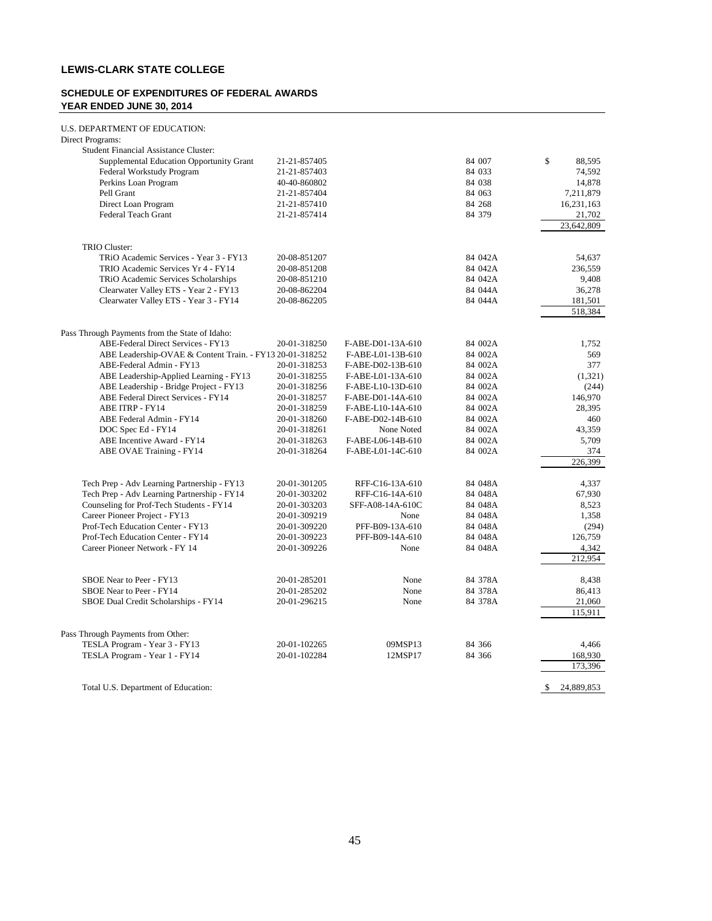# **LEWIS-CLARK STATE COLLEGE**

### **SCHEDULE OF EXPENDITURES OF FEDERAL AWARDS YEAR ENDED JUNE 30, 2014**

| U.S. DEPARTMENT OF EDUCATION: |
|-------------------------------|
|                               |

| Direct Programs:                                         |              |                   |         |                 |
|----------------------------------------------------------|--------------|-------------------|---------|-----------------|
| <b>Student Financial Assistance Cluster:</b>             |              |                   |         |                 |
| Supplemental Education Opportunity Grant                 | 21-21-857405 |                   | 84 007  | \$<br>88,595    |
| Federal Workstudy Program                                | 21-21-857403 |                   | 84 033  | 74,592          |
| Perkins Loan Program                                     | 40-40-860802 |                   | 84 038  | 14,878          |
| Pell Grant                                               | 21-21-857404 |                   | 84 063  | 7,211,879       |
| Direct Loan Program                                      | 21-21-857410 |                   | 84 268  | 16,231,163      |
| Federal Teach Grant                                      | 21-21-857414 |                   | 84 379  | 21,702          |
|                                                          |              |                   |         | 23,642,809      |
| TRIO Cluster:                                            |              |                   |         |                 |
| TRIO Academic Services - Year 3 - FY13                   | 20-08-851207 |                   | 84 042A | 54,637          |
| TRIO Academic Services Yr 4 - FY14                       | 20-08-851208 |                   | 84 042A | 236,559         |
| TRiO Academic Services Scholarships                      | 20-08-851210 |                   | 84 042A | 9,408           |
| Clearwater Valley ETS - Year 2 - FY13                    | 20-08-862204 |                   | 84 044A | 36,278          |
| Clearwater Valley ETS - Year 3 - FY14                    | 20-08-862205 |                   | 84 044A | 181,501         |
|                                                          |              |                   |         | 518,384         |
| Pass Through Payments from the State of Idaho:           |              |                   |         |                 |
| ABE-Federal Direct Services - FY13                       | 20-01-318250 | F-ABE-D01-13A-610 | 84 002A | 1,752           |
| ABE Leadership-OVAE & Content Train. - FY13 20-01-318252 |              | F-ABE-L01-13B-610 | 84 002A | 569             |
| ABE-Federal Admin - FY13                                 | 20-01-318253 | F-ABE-D02-13B-610 | 84 002A | 377             |
| ABE Leadership-Applied Learning - FY13                   | 20-01-318255 | F-ABE-L01-13A-610 | 84 002A | (1,321)         |
| ABE Leadership - Bridge Project - FY13                   | 20-01-318256 | F-ABE-L10-13D-610 | 84 002A | (244)           |
| ABE Federal Direct Services - FY14                       | 20-01-318257 | F-ABE-D01-14A-610 | 84 002A | 146,970         |
| <b>ABE ITRP - FY14</b>                                   | 20-01-318259 | F-ABE-L10-14A-610 | 84 002A | 28,395          |
| ABE Federal Admin - FY14                                 | 20-01-318260 | F-ABE-D02-14B-610 | 84 002A | 460             |
| DOC Spec Ed - FY14                                       | 20-01-318261 | None Noted        | 84 002A | 43,359          |
| ABE Incentive Award - FY14                               | 20-01-318263 | F-ABE-L06-14B-610 | 84 002A | 5,709           |
| ABE OVAE Training - FY14                                 | 20-01-318264 | F-ABE-L01-14C-610 | 84 002A | 374             |
|                                                          |              |                   |         | 226,399         |
| Tech Prep - Adv Learning Partnership - FY13              | 20-01-301205 | RFF-C16-13A-610   | 84 048A | 4,337           |
| Tech Prep - Adv Learning Partnership - FY14              | 20-01-303202 | RFF-C16-14A-610   | 84 048A | 67,930          |
| Counseling for Prof-Tech Students - FY14                 | 20-01-303203 | SFF-A08-14A-610C  | 84 048A | 8,523           |
| Career Pioneer Project - FY13                            | 20-01-309219 | None              | 84 048A | 1,358           |
| Prof-Tech Education Center - FY13                        | 20-01-309220 | PFF-B09-13A-610   | 84 048A | (294)           |
| Prof-Tech Education Center - FY14                        | 20-01-309223 | PFF-B09-14A-610   | 84 048A | 126,759         |
| Career Pioneer Network - FY 14                           | 20-01-309226 | None              | 84 048A | 4,342           |
|                                                          |              |                   |         | 212,954         |
| SBOE Near to Peer - FY13                                 | 20-01-285201 | None              | 84 378A | 8.438           |
| SBOE Near to Peer - FY14                                 | 20-01-285202 | None              | 84 378A | 86,413          |
| SBOE Dual Credit Scholarships - FY14                     | 20-01-296215 | None              | 84 378A | 21,060          |
|                                                          |              |                   |         | 115,911         |
| Pass Through Payments from Other:                        |              |                   |         |                 |
| TESLA Program - Year 3 - FY13                            | 20-01-102265 | 09MSP13           | 84 366  | 4,466           |
| TESLA Program - Year 1 - FY14                            | 20-01-102284 | 12MSP17           | 84 366  | 168,930         |
|                                                          |              |                   |         | 173,396         |
| Total U.S. Department of Education:                      |              |                   |         | 24,889,853<br>S |